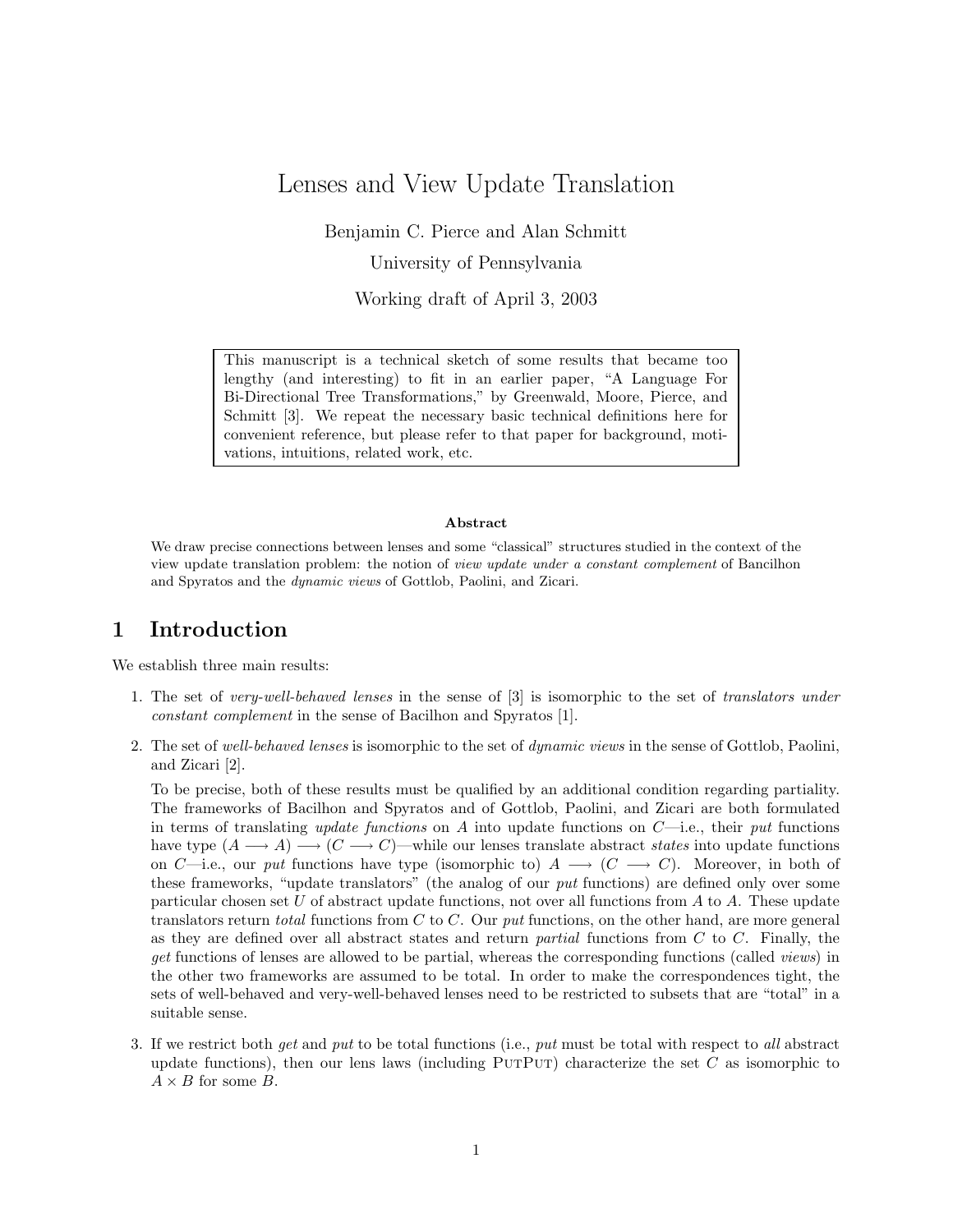# Lenses and View Update Translation

Benjamin C. Pierce and Alan Schmitt

University of Pennsylvania

Working draft of April 3, 2003

This manuscript is a technical sketch of some results that became too lengthy (and interesting) to fit in an earlier paper, "A Language For Bi-Directional Tree Transformations," by Greenwald, Moore, Pierce, and Schmitt [3]. We repeat the necessary basic technical definitions here for convenient reference, but please refer to that paper for background, motivations, intuitions, related work, etc.

#### Abstract

We draw precise connections between lenses and some "classical" structures studied in the context of the view update translation problem: the notion of view update under a constant complement of Bancilhon and Spyratos and the dynamic views of Gottlob, Paolini, and Zicari.

### 1 Introduction

We establish three main results:

- 1. The set of very-well-behaved lenses in the sense of [3] is isomorphic to the set of translators under constant complement in the sense of Bacilhon and Spyratos [1].
- 2. The set of well-behaved lenses is isomorphic to the set of dynamic views in the sense of Gottlob, Paolini, and Zicari [2].

To be precise, both of these results must be qualified by an additional condition regarding partiality. The frameworks of Bacilhon and Spyratos and of Gottlob, Paolini, and Zicari are both formulated in terms of translating *update functions* on A into update functions on  $C$ —i.e., their put functions have type  $(A \longrightarrow A) \longrightarrow (C \longrightarrow C)$ —while our lenses translate abstract states into update functions on C—i.e., our put functions have type (isomorphic to)  $A \longrightarrow (C \longrightarrow C)$ . Moreover, in both of these frameworks, "update translators" (the analog of our put functions) are defined only over some particular chosen set U of abstract update functions, not over all functions from A to A. These update translators return *total* functions from C to C. Our *put* functions, on the other hand, are more general as they are defined over all abstract states and return *partial* functions from  $C$  to  $C$ . Finally, the get functions of lenses are allowed to be partial, whereas the corresponding functions (called views) in the other two frameworks are assumed to be total. In order to make the correspondences tight, the sets of well-behaved and very-well-behaved lenses need to be restricted to subsets that are "total" in a suitable sense.

3. If we restrict both get and put to be total functions (i.e., put must be total with respect to all abstract update functions), then our lens laws (including PUTPUT) characterize the set C as isomorphic to  $A \times B$  for some B.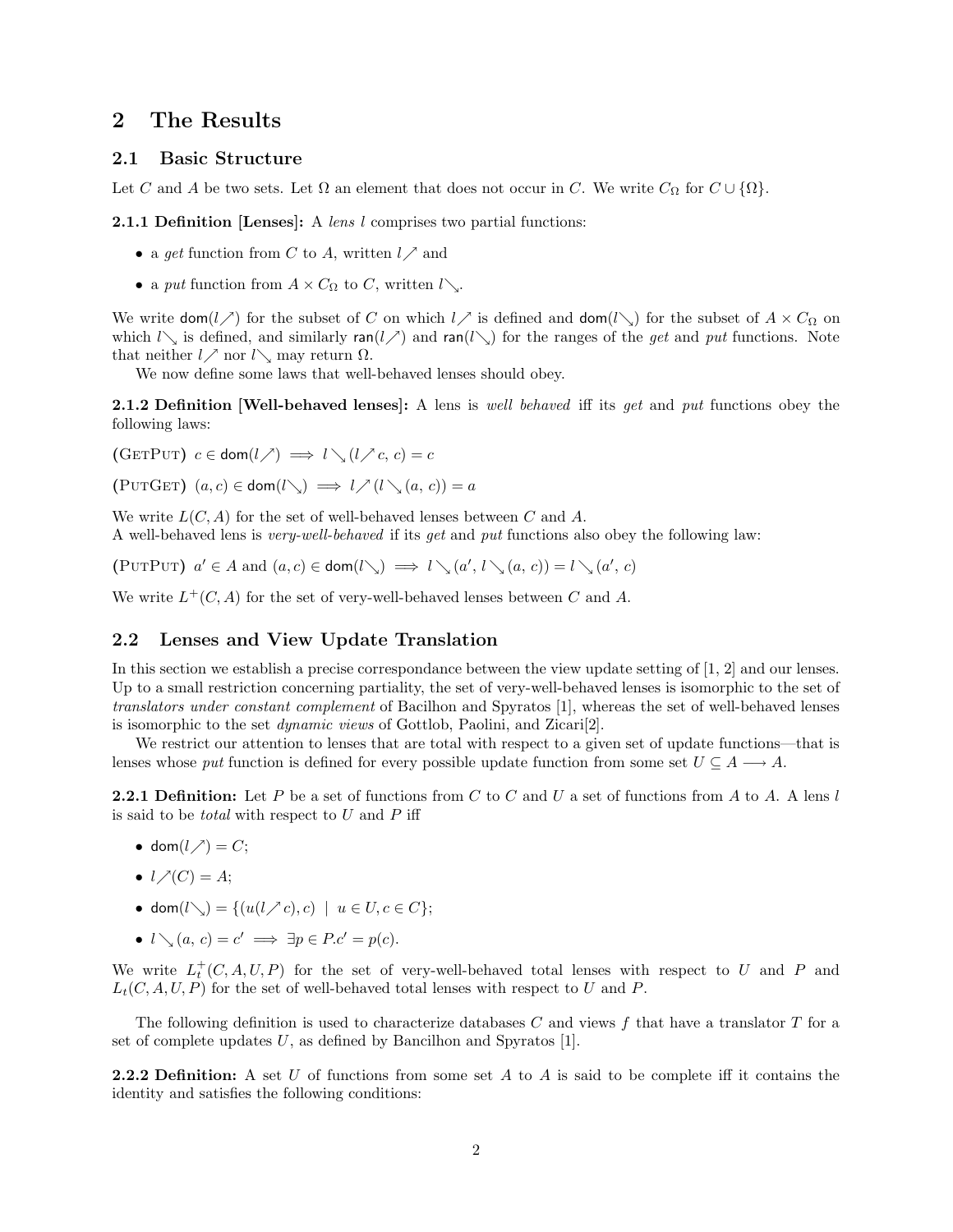### 2 The Results

#### 2.1 Basic Structure

Let C and A be two sets. Let  $\Omega$  an element that does not occur in C. We write  $C_{\Omega}$  for  $C \cup \{\Omega\}$ .

**2.1.1 Definition [Lenses]:** A lens  $l$  comprises two partial functions:

- a get function from C to A, written  $l \nearrow$  and
- a put function from  $A \times C_{\Omega}$  to C, written  $l \setminus$ .

We write  $\text{dom}(l \nearrow)$  for the subset of C on which  $l \nearrow$  is defined and  $\text{dom}(l \searrow)$  for the subset of  $A \times C_{\Omega}$  on which  $l\searrow$  is defined, and similarly ran( $l\searrow$ ) and ran( $l\searrow$ ) for the ranges of the get and put functions. Note that neither  $l \nearrow$  nor  $l\searrow$  may return  $\Omega$ .

We now define some laws that well-behaved lenses should obey.

**2.1.2 Definition Well-behaved lenses**: A lens is well behaved iff its get and put functions obey the following laws:

(GETPUT)  $c \in \text{dom}(l \nearrow) \implies l \searrow (l \nearrow c, c) = c$ 

(PUTGET)  $(a, c) \in \text{dom}(l \setminus) \implies l \nearrow (l \setminus (a, c)) = a$ 

We write  $L(C, A)$  for the set of well-behaved lenses between C and A. A well-behaved lens is very-well-behaved if its get and put functions also obey the following law:

(PUTPUT)  $a' \in A$  and  $(a, c) \in \text{dom}(l \setminus \mathcal{C}) \implies l \setminus (a', l \setminus (a, c)) = l \setminus (a', c)$ 

We write  $L^+(C, A)$  for the set of very-well-behaved lenses between C and A.

#### 2.2 Lenses and View Update Translation

In this section we establish a precise correspondance between the view update setting of [1, 2] and our lenses. Up to a small restriction concerning partiality, the set of very-well-behaved lenses is isomorphic to the set of translators under constant complement of Bacilhon and Spyratos [1], whereas the set of well-behaved lenses is isomorphic to the set dynamic views of Gottlob, Paolini, and Zicari[2].

We restrict our attention to lenses that are total with respect to a given set of update functions—that is lenses whose put function is defined for every possible update function from some set  $U \subseteq A \longrightarrow A$ .

**2.2.1 Definition:** Let P be a set of functions from C to C and U a set of functions from A to A. A lens l is said to be *total* with respect to  $U$  and  $P$  iff

- dom $(l \nearrow) = C$ ;
- $l \nearrow (C) = A;$
- dom $(l\searrow) = \{(u(l \nearrow c), c) \mid u \in U, c \in C\};$
- $l \searrow (a, c) = c' \implies \exists p \in P.c' = p(c).$

We write  $L_t^+(C, A, U, P)$  for the set of very-well-behaved total lenses with respect to U and P and  $L_t(C, A, U, P)$  for the set of well-behaved total lenses with respect to U and P.

The following definition is used to characterize databases  $C$  and views f that have a translator  $T$  for a set of complete updates  $U$ , as defined by Bancilhon and Spyratos [1].

**2.2.2 Definition:** A set U of functions from some set A to A is said to be complete iff it contains the identity and satisfies the following conditions: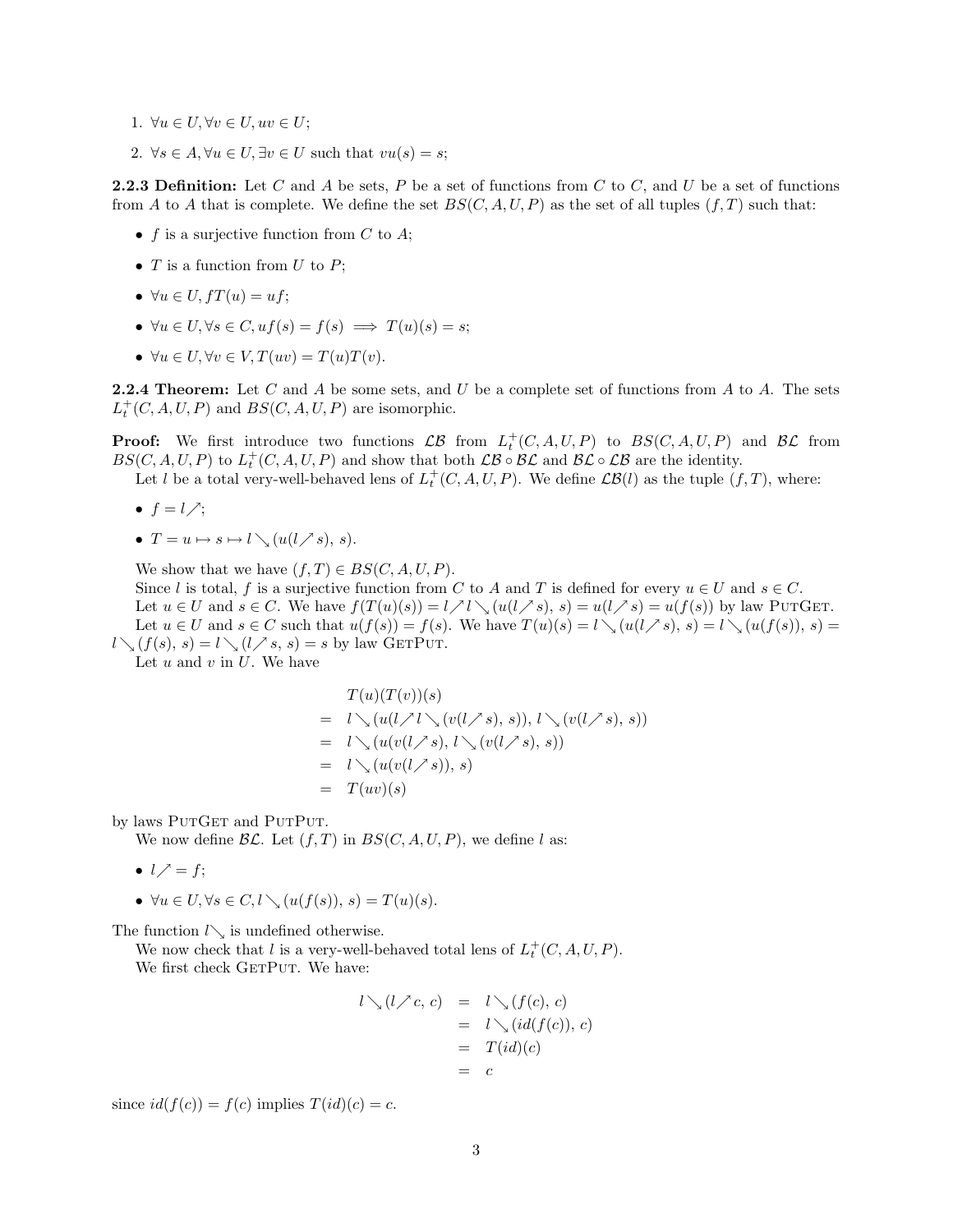- 1.  $\forall u \in U, \forall v \in U, uv \in U$ ;
- 2.  $\forall s \in A, \forall u \in U, \exists v \in U \text{ such that } vu(s) = s;$

**2.2.3 Definition:** Let C and A be sets, P be a set of functions from C to C, and U be a set of functions from A to A that is complete. We define the set  $BS(C, A, U, P)$  as the set of all tuples  $(f, T)$  such that:

- f is a surjective function from  $C$  to  $A$ ;
- $T$  is a function from  $U$  to  $P$ ;
- $\forall u \in U$ ,  $fT(u) = uf$ ;
- $\forall u \in U, \forall s \in C, uf(s) = f(s) \implies T(u)(s) = s;$
- $\forall u \in U, \forall v \in V, T(uv) = T(u)T(v).$

**2.2.4 Theorem:** Let C and A be some sets, and U be a complete set of functions from A to A. The sets  $L_t^+(C, A, U, P)$  and  $BS(C, A, U, P)$  are isomorphic.

**Proof:** We first introduce two functions  $\mathcal{LB}$  from  $L_t^+(C, A, U, P)$  to  $BS(C, A, U, P)$  and  $\mathcal{BL}$  from  $BS(C, A, U, P)$  to  $L_t^+(C, A, U, P)$  and show that both  $\mathcal{LB} \circ \mathcal{BL}$  and  $\mathcal{BL} \circ \mathcal{LB}$  are the identity.

Let l be a total very-well-behaved lens of  $L_t^+(C, A, U, P)$ . We define  $\mathcal{LB}(l)$  as the tuple  $(f, T)$ , where:

- $f = l \nearrow$ ;
- $T = u \mapsto s \mapsto l \setminus (u(l \nearrow s), s).$

We show that we have  $(f, T) \in BS(C, A, U, P)$ .

Since l is total, f is a surjective function from C to A and T is defined for every  $u \in U$  and  $s \in C$ . Let  $u \in U$  and  $s \in C$ . We have  $f(T(u)(s)) = l \nearrow l \searrow (u(l \nearrow s), s) = u(l \nearrow s) = u(f(s))$  by law PUTGET. Let  $u \in U$  and  $s \in C$  such that  $u(f(s)) = f(s)$ . We have  $T(u)(s) = l \setminus (u(l \nearrow s), s) = l \setminus (u(f(s)), s) =$  $l \setminus (f(s), s) = l \setminus (l \nearrow s, s) = s$  by law GETPUT.

Let  $u$  and  $v$  in  $U$ . We have

$$
T(u)(T(v))(s)
$$
  
=  $l \searrow (u(l \nearrow l \searrow (v(l \nearrow s), s)), l \searrow (v(l \nearrow s), s))$   
=  $l \searrow (u(v(l \nearrow s), l \searrow (v(l \nearrow s), s))$   
=  $l \searrow (u(v(l \nearrow s)), s)$   
=  $T(uv)(s)$ 

by laws PUTGET and PUTPUT.

We now define  $\mathcal{BL}$ . Let  $(f, T)$  in  $BS(C, A, U, P)$ , we define l as:

- $l \nearrow = f$ ;
- $\forall u \in U, \forall s \in C, l \setminus (u(f(s)), s) = T(u)(s).$

The function  $l\searrow$  is undefined otherwise.

We now check that l is a very-well-behaved total lens of  $L_t^+(C, A, U, P)$ . We first check GETPUT. We have:

$$
l \setminus (l \nearrow c, c) = l \setminus (f(c), c)
$$
  
=  $l \setminus (id(f(c)), c)$   
=  $T(id)(c)$   
=  $c$ 

since  $id(f(c)) = f(c)$  implies  $T(id)(c) = c$ .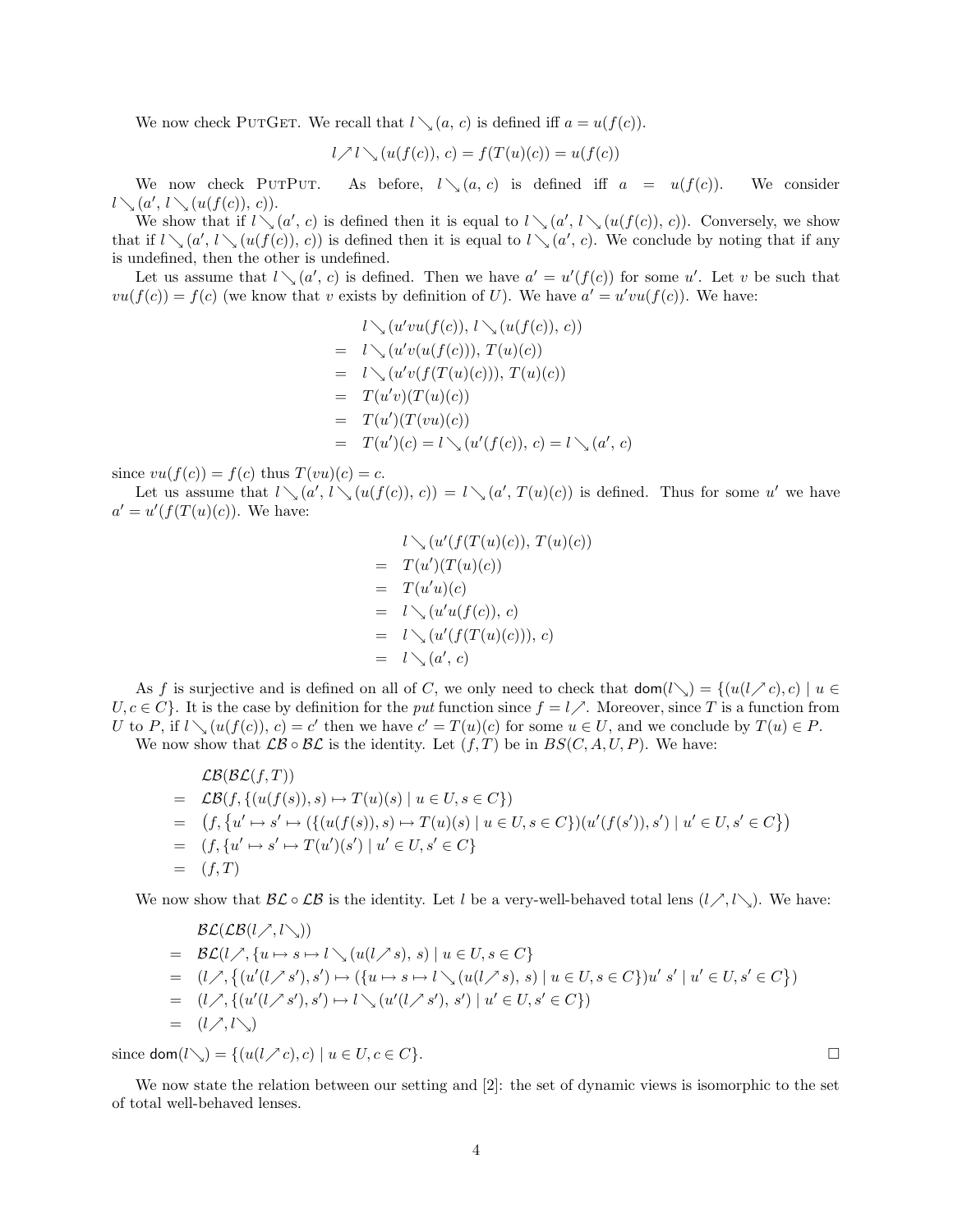We now check PUTGET. We recall that  $l \setminus (a, c)$  is defined iff  $a = u(f(c))$ .

$$
l \nearrow l \searrow (u(f(c)), c) = f(T(u)(c)) = u(f(c))
$$

We now check PUTPUT. As before,  $l \setminus (a, c)$  is defined iff  $a = u(f(c))$ . We consider  $l \searrow (a', l \searrow (u(f(c)), c)).$ 

We show that if  $l \setminus (a', c)$  is defined then it is equal to  $l \setminus (a', l \setminus (u(f(c)), c))$ . Conversely, we show that if  $l \setminus (a', l \setminus (u(f(c)), c))$  is defined then it is equal to  $l \setminus (a', c)$ . We conclude by noting that if any is undefined, then the other is undefined.

Let us assume that  $l \setminus (a', c)$  is defined. Then we have  $a' = u'(f(c))$  for some u'. Let v be such that  $vu(f(c)) = f(c)$  (we know that v exists by definition of U). We have  $a' = u'vu(f(c))$ . We have:

$$
l \searrow (u'vu(f(c)), l \searrow (u(f(c)), c))
$$
  
=  $l \searrow (u'v(u(f(c))), T(u)(c))$   
=  $l \searrow (u'v(f(T(u)(c))), T(u)(c))$   
=  $T(u'v)(T(u)(c))$   
=  $T(u')(T(vu)(c))$   
=  $T(u')(c) = l \searrow (u'(f(c)), c) = l \searrow (a', c)$ 

since  $vu(f(c)) = f(c)$  thus  $T(vu)(c) = c$ .

Let us assume that  $l \setminus (a', l \setminus (u(f(c)), c)) = l \setminus (a', T(u)(c))$  is defined. Thus for some u' we have  $a' = u'(f(T(u)(c)).$  We have:

$$
l \searrow (u'(f(T(u)(c)), T(u)(c)))
$$
  
= 
$$
T(u')(T(u)(c))
$$
  
= 
$$
T(u'u)(c)
$$
  
= 
$$
l \searrow (u'(u(f(c)), c))
$$
  
= 
$$
l \searrow (u'(f(T(u)(c))), c)
$$
  
= 
$$
l \searrow (a', c)
$$

As f is surjective and is defined on all of C, we only need to check that  $\text{dom}(l\searrow) = \{(u(l\nearrow c), c) | u \in$  $U, c \in C$ . It is the case by definition for the put function since  $f = l$ . Moreover, since T is a function from U to P, if  $l \setminus (u(f(c)), c) = c'$  then we have  $c' = T(u)(c)$  for some  $u \in U$ , and we conclude by  $T(u) \in P$ .

We now show that  $\mathcal{LB} \circ \mathcal{BL}$  is the identity. Let  $(f, T)$  be in  $BS(C, A, U, P)$ . We have:

$$
\mathcal{LB}(\mathcal{BL}(f,T))
$$
\n
$$
= \mathcal{LB}(f, \{(u(f(s)), s) \mapsto T(u)(s) \mid u \in U, s \in C\})
$$
\n
$$
= (f, \{u' \mapsto s' \mapsto (\{(u(f(s)), s) \mapsto T(u)(s) \mid u \in U, s \in C\})(u'(f(s')), s') \mid u' \in U, s' \in C\})
$$
\n
$$
= (f, T)
$$

We now show that  $\mathcal{BL} \circ \mathcal{LB}$  is the identity. Let l be a very-well-behaved total lens  $(l \nearrow, l \searrow)$ . We have:

$$
\mathcal{BL}(\mathcal{LB}(l,\nearrow,l\searrow))
$$
\n
$$
= \mathcal{BL}(l,\nearrow,\{u \mapsto s \mapsto l\searrow(u(l,\nearrow s),s) \mid u \in U, s \in C\}
$$
\n
$$
= (l,\nearrow,\{(u'(l,\nearrow s'),s') \mapsto (\{u \mapsto s \mapsto l\searrow(u(l,\nearrow s),s) \mid u \in U, s \in C\})u' \ s' \mid u' \in U, s' \in C\})
$$
\n
$$
= (l,\nearrow,\{(u'(l,\nearrow s'),s') \mapsto l\searrow(u'(l,\nearrow s'),s') \mid u' \in U, s' \in C\})
$$
\n
$$
= (l,\nearrow,\lceil \searrow \rangle)
$$

since  $\text{dom}(l\setminus) = \{(u(l \nearrow c), c) \mid u \in U, c \in C\}.$ 

We now state the relation between our setting and [2]: the set of dynamic views is isomorphic to the set of total well-behaved lenses.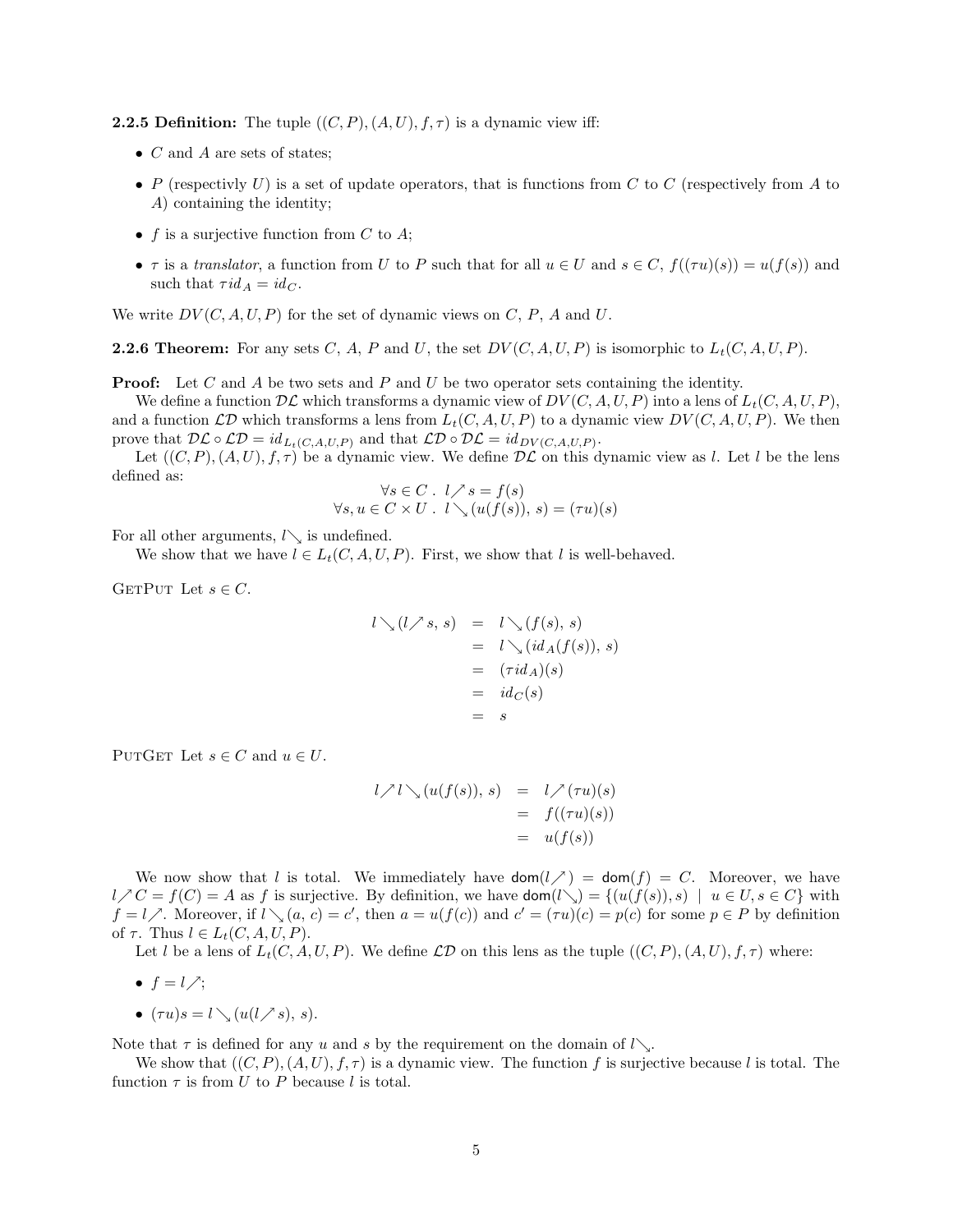**2.2.5 Definition:** The tuple  $((C, P), (A, U), f, \tau)$  is a dynamic view iff:

- $C$  and  $A$  are sets of states;
- P (respectively U) is a set of update operators, that is functions from C to C (respectively from A to A) containing the identity;
- f is a surjective function from  $C$  to  $A$ ;
- $\tau$  is a translator, a function from U to P such that for all  $u \in U$  and  $s \in C$ ,  $f((\tau u)(s)) = u(f(s))$  and such that  $\tau id_A = id_C$ .

We write  $DV(C, A, U, P)$  for the set of dynamic views on C, P, A and U.

**2.2.6 Theorem:** For any sets C, A, P and U, the set  $DV(C, A, U, P)$  is isomorphic to  $L_t(C, A, U, P)$ .

**Proof:** Let C and A be two sets and P and U be two operator sets containing the identity.

We define a function  $D\mathcal{L}$  which transforms a dynamic view of  $DV(C, A, U, P)$  into a lens of  $L_t(C, A, U, P)$ , and a function  $\mathcal{LD}$  which transforms a lens from  $L_t(C, A, U, P)$  to a dynamic view  $DV(C, A, U, P)$ . We then prove that  $\mathcal{DL} \circ \mathcal{LD} = id_{L_t(C,A,U,P)}$  and that  $\mathcal{LD} \circ \mathcal{DL} = id_{DV(C,A,U,P)}$ .

Let  $((C, P), (A, U), f, \tau)$  be a dynamic view. We define  $D\mathcal{L}$  on this dynamic view as l. Let l be the lens defined as:

$$
\forall s \in C \quad l \nearrow s = f(s)
$$
  

$$
\forall s, u \in C \times U \quad l \searrow (u(f(s)), s) = (\tau u)(s)
$$

For all other arguments,  $l\searrow$  is undefined.

We show that we have  $l \in L_t(C, A, U, P)$ . First, we show that l is well-behaved.

GETPUT Let  $s \in C$ .

$$
l \searrow (l \nearrow s, s) = l \searrow (f(s), s)
$$
  
=  $l \searrow (id_A(f(s)), s)$   
=  $(\tau id_A)(s)$   
=  $id_C(s)$   
=  $s$ 

PUTGET Let  $s \in C$  and  $u \in U$ .

$$
l \nearrow l \searrow (u(f(s)), s) = l \nearrow (\tau u)(s)
$$
  
=  $f((\tau u)(s))$   
=  $u(f(s))$ 

We now show that l is total. We immediately have  $\text{dom}(l \nearrow) = \text{dom}(f) = C$ . Moreover, we have  $l \nearrow C = f(C) = A$  as f is surjective. By definition, we have  $\text{dom}(l \searrow) = \{(u(f(s)), s) \mid u \in U, s \in C\}$  with  $f = l \nearrow$ . Moreover, if  $l \searrow (a, c) = c'$ , then  $a = u(f(c))$  and  $c' = (\tau u)(c) = p(c)$  for some  $p \in P$  by definition of  $\tau$ . Thus  $l \in L_t(C, A, U, P)$ .

Let l be a lens of  $L_t(C, A, U, P)$ . We define  $\mathcal{LD}$  on this lens as the tuple  $((C, P), (A, U), f, \tau)$  where:

- $f = l \nearrow$ ;
- $(\tau u)s = l \setminus (u(l \nearrow s), s).$

Note that  $\tau$  is defined for any u and s by the requirement on the domain of  $l\searrow$ .

We show that  $((C, P), (A, U), f, \tau)$  is a dynamic view. The function f is surjective because l is total. The function  $\tau$  is from U to P because l is total.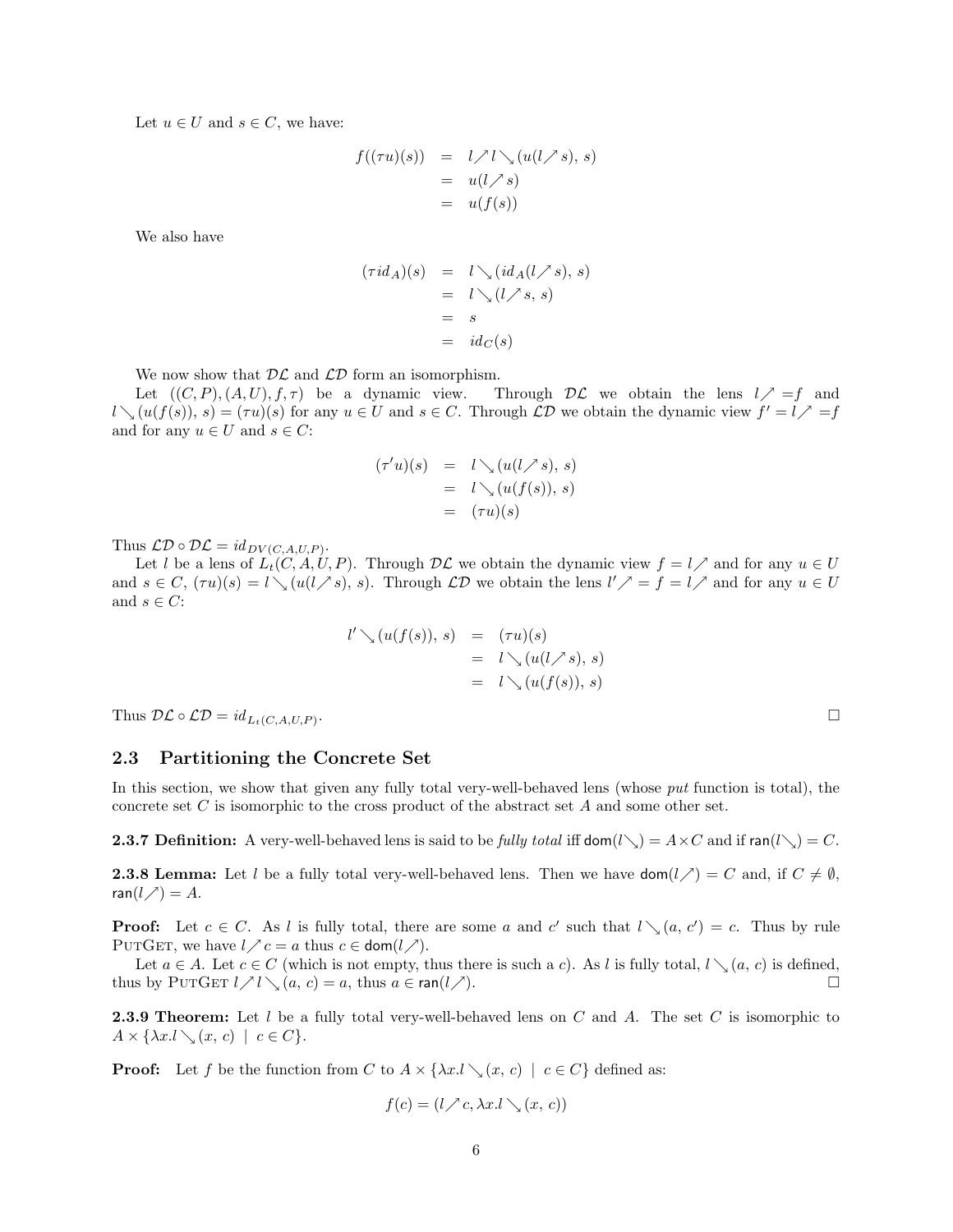Let  $u \in U$  and  $s \in C$ , we have:

$$
f((\tau u)(s)) = l \nearrow l \searrow (u(l \nearrow s), s)
$$
  
=  $u(l \nearrow s)$   
=  $u(f(s))$ 

We also have

$$
(\tau id_A)(s) = l \searrow (id_A(l \nearrow s), s)
$$
  
=  $l \searrow (l \nearrow s, s)$   
=  $s$   
=  $id_C(s)$ 

We now show that  $D\mathcal{L}$  and  $\mathcal{LD}$  form an isomorphism.

Let  $((C, P), (A, U), f, \tau)$  be a dynamic view. Through  $D\mathcal{L}$  we obtain the lens  $l \nearrow =f$  and  $l \setminus (u(f(s)), s) = (\tau u)(s)$  for any  $u \in U$  and  $s \in C$ . Through  $\mathcal{L}D$  we obtain the dynamic view  $f' = l \nearrow f$ and for any  $u \in U$  and  $s \in C$ :

$$
(\tau'u)(s) = l \searrow (u(l \nearrow s), s)
$$
  
=  $l \searrow (u(f(s)), s)$   
=  $(\tau u)(s)$ 

Thus  $\mathcal{LD} \circ \mathcal{DL} = id_{DV(C,A,U,P)}$ .

Let l be a lens of  $L_t(C, A, U, P)$ . Through  $D\mathcal{L}$  we obtain the dynamic view  $f = l \nearrow$  and for any  $u \in U$ and  $s \in C$ ,  $(\tau u)(s) = l \setminus (u(l \nearrow s), s)$ . Through  $\mathcal{LD}$  we obtain the lens  $l' \nearrow s = f = l \nearrow s$  and for any  $u \in U$ and  $s \in C$ :

$$
l' \searrow (u(f(s)), s) = (\tau u)(s)
$$
  
=  $l \searrow (u(l \nearrow s), s)$   
=  $l \searrow (u(f(s)), s)$ 

Thus  $\mathcal{DL} \circ \mathcal{LD} = id_{L_t(C, A, U, P)}$ .

#### 2.3 Partitioning the Concrete Set

In this section, we show that given any fully total very-well-behaved lens (whose put function is total), the concrete set C is isomorphic to the cross product of the abstract set A and some other set.

**2.3.7 Definition:** A very-well-behaved lens is said to be fully total iff dom( $l\searrow$ ) = A × C and if ran( $l\searrow$ ) = C.

**2.3.8 Lemma:** Let l be a fully total very-well-behaved lens. Then we have  $\text{dom}(l \nearrow) = C$  and, if  $C \neq \emptyset$ , ran( $l \nearrow$ ) = A.

**Proof:** Let  $c \in C$ . As l is fully total, there are some a and c' such that  $l \setminus (a, c') = c$ . Thus by rule PUTGET, we have  $l \nearrow c = a$  thus  $c \in \text{dom}(l \nearrow)$ .

Let  $a \in A$ . Let  $c \in C$  (which is not empty, thus there is such a c). As l is fully total,  $l \setminus (a, c)$  is defined, thus by PUTGET  $l \nearrow l \searrow (a, c) = a$ , thus  $a \in \text{ran}(l \nearrow)$ .

**2.3.9 Theorem:** Let  $l$  be a fully total very-well-behaved lens on  $C$  and  $A$ . The set  $C$  is isomorphic to  $A \times \{ \lambda x. l \setminus (x, c) \mid c \in C \}.$ 

**Proof:** Let f be the function from C to  $A \times \{\lambda x. \cup \setminus (x, c) \mid c \in C\}$  defined as:

$$
f(c) = (l \nearrow c, \lambda x. l \searrow (x, c))
$$

. In the contract of the contract of the contract of the contract of the contract of the contract of the contract of